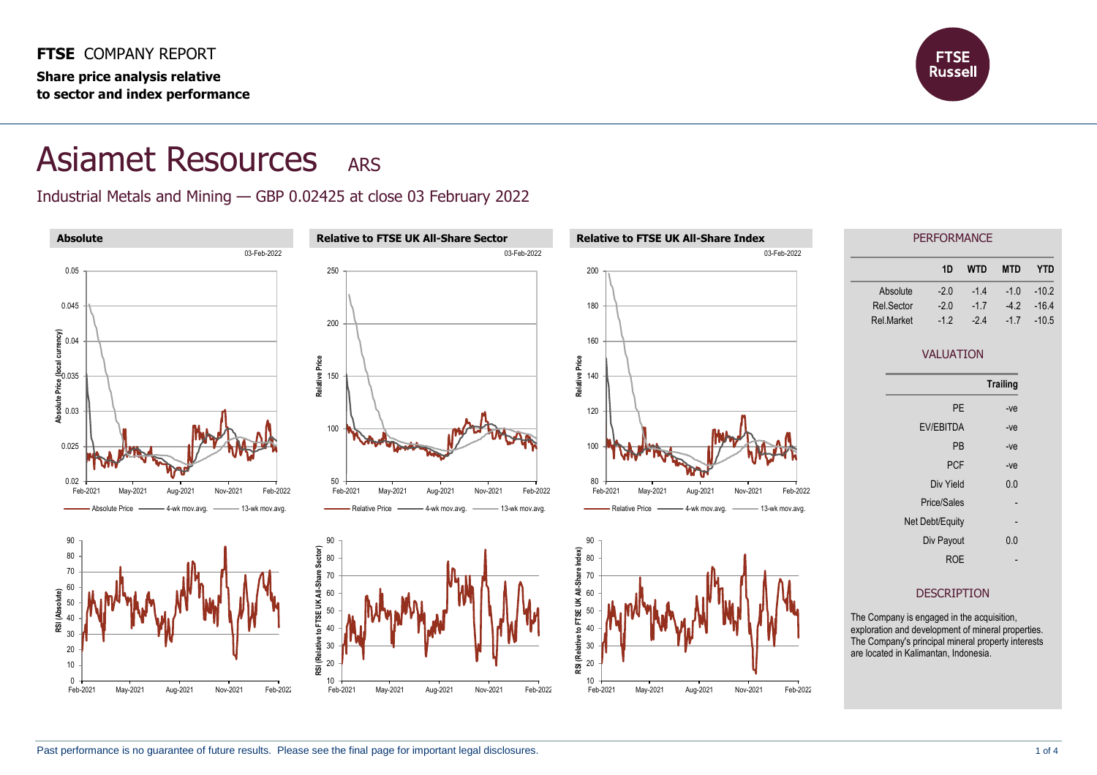

## Asiamet Resources ARS

Industrial Metals and Mining — GBP 0.02425 at close 03 February 2022

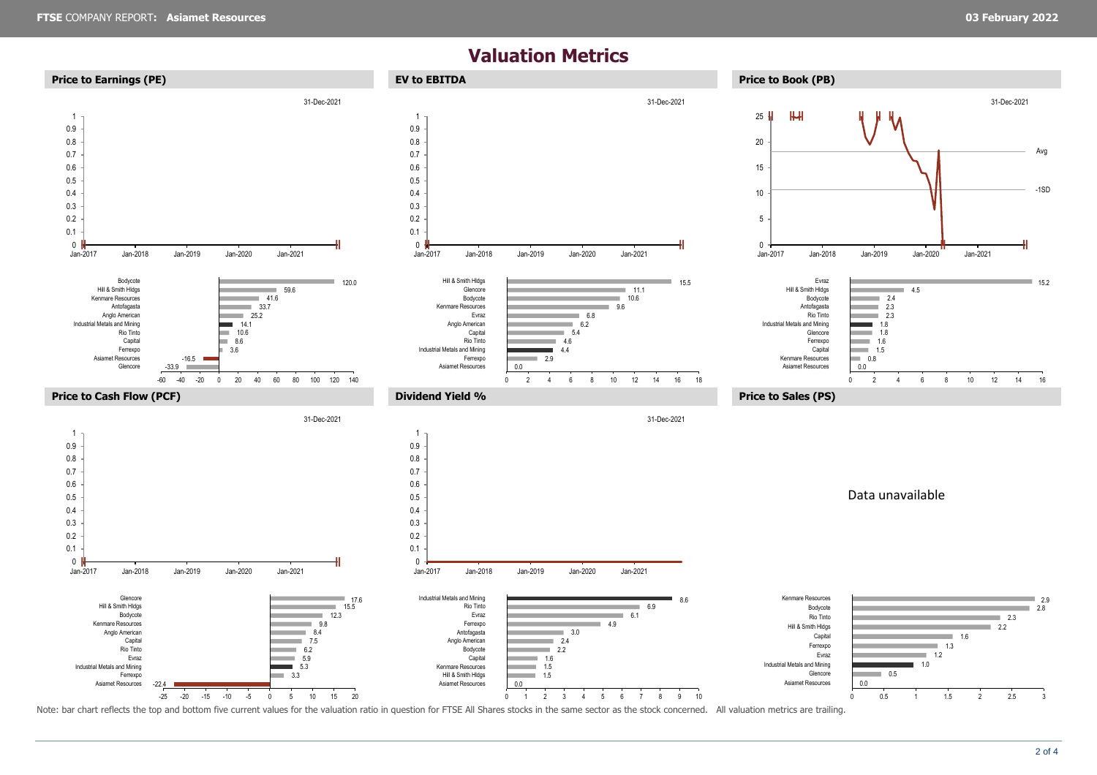## **Valuation Metrics**



2 of 4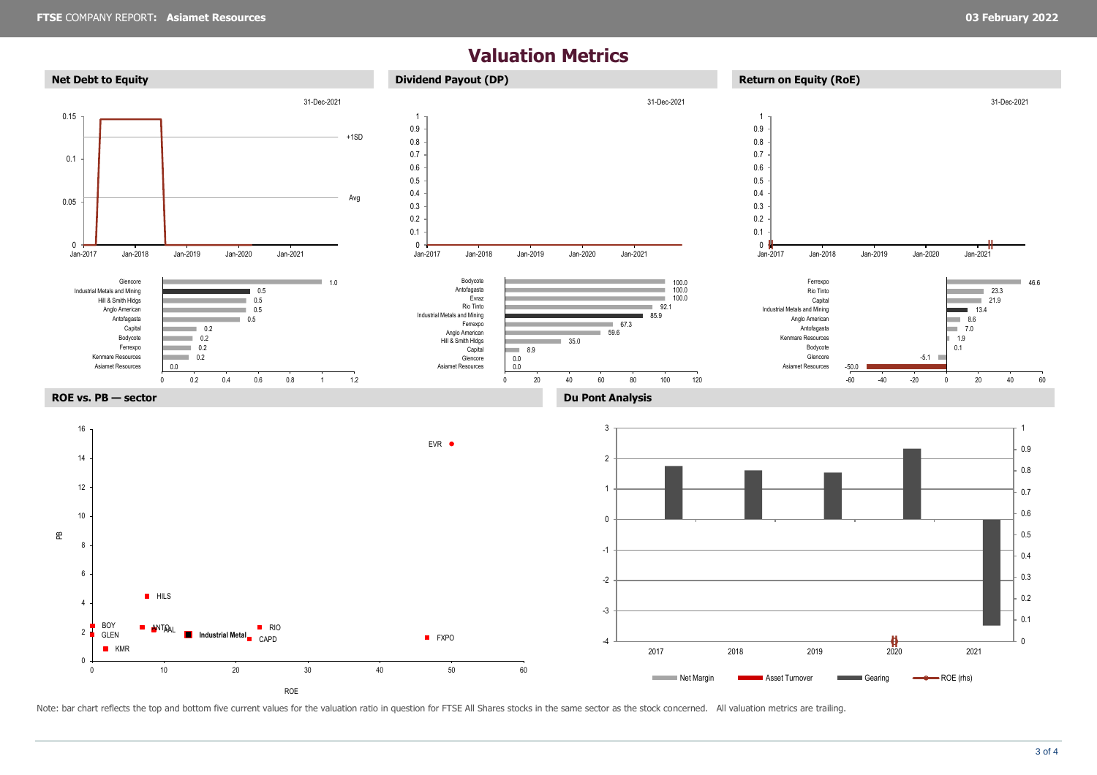## **Valuation Metrics**



Note: bar chart reflects the top and bottom five current values for the valuation ratio in question for FTSE All Shares stocks in the same sector as the stock concerned. All valuation metrics are trailing.